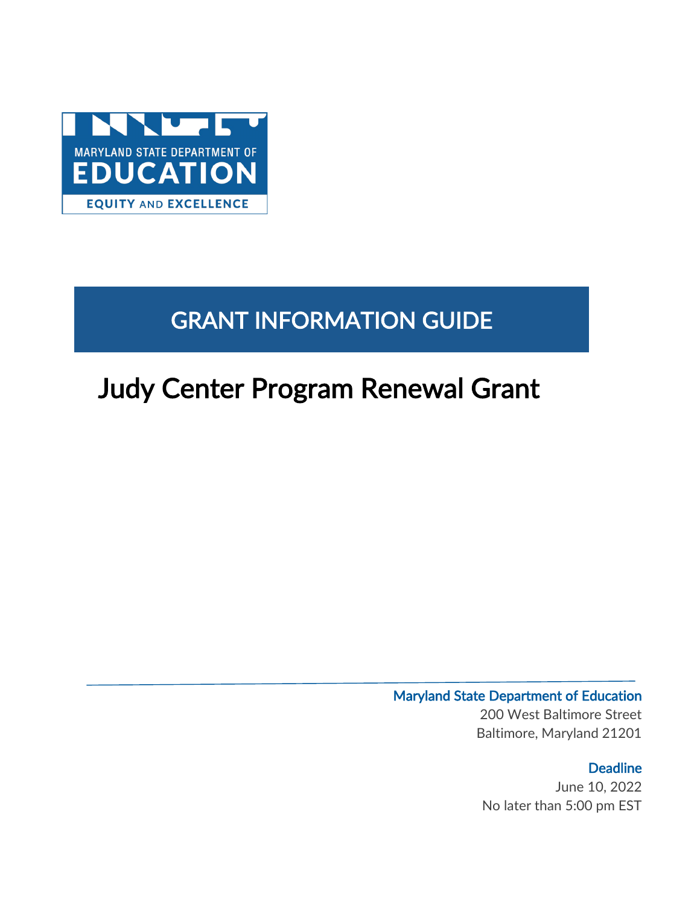

# GRANT INFORMATION GUIDE

# Judy Center Program Renewal Grant

### Maryland State Department of Education 200 West Baltimore Street Baltimore, Maryland 21201

**Deadline** June 10, 2022 No later than 5:00 pm EST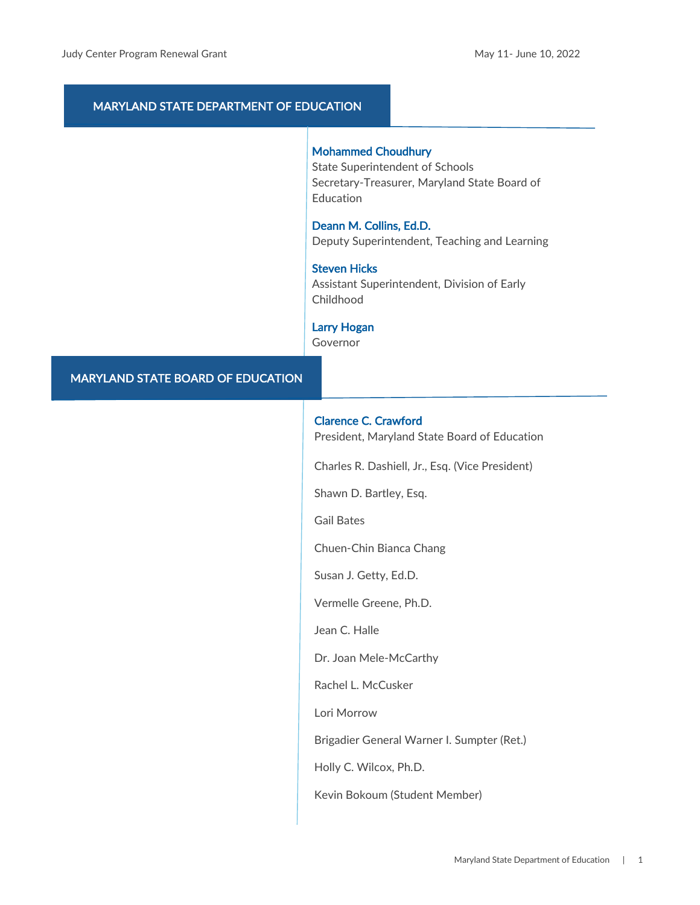### MARYLAND STATE DEPARTMENT OF EDUCATION

#### Mohammed Choudhury

State Superintendent of Schools Secretary-Treasurer, Maryland State Board of Education

Deann M. Collins, Ed.D. Deputy Superintendent, Teaching and Learning

Steven Hicks Assistant Superintendent, Division of Early

Childhood

Larry Hogan

Governor

### MARYLAND STATE BOARD OF EDUCATION

#### Clarence C. Crawford

President, Maryland State Board of Education

Charles R. Dashiell, Jr., Esq. (Vice President)

Shawn D. Bartley, Esq.

Gail Bates

Chuen-Chin Bianca Chang

Susan J. Getty, Ed.D.

Vermelle Greene, Ph.D.

Jean C. Halle

Dr. Joan Mele-McCarthy

Rachel L. McCusker

Lori Morrow

Brigadier General Warner I. Sumpter (Ret.)

Holly C. Wilcox, Ph.D.

Kevin Bokoum (Student Member)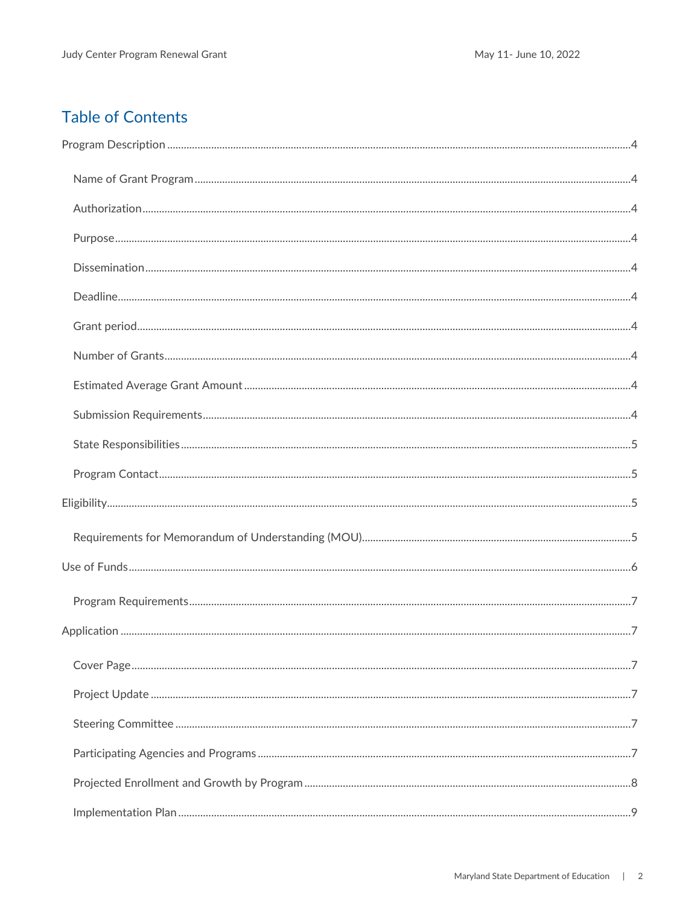### **Table of Contents**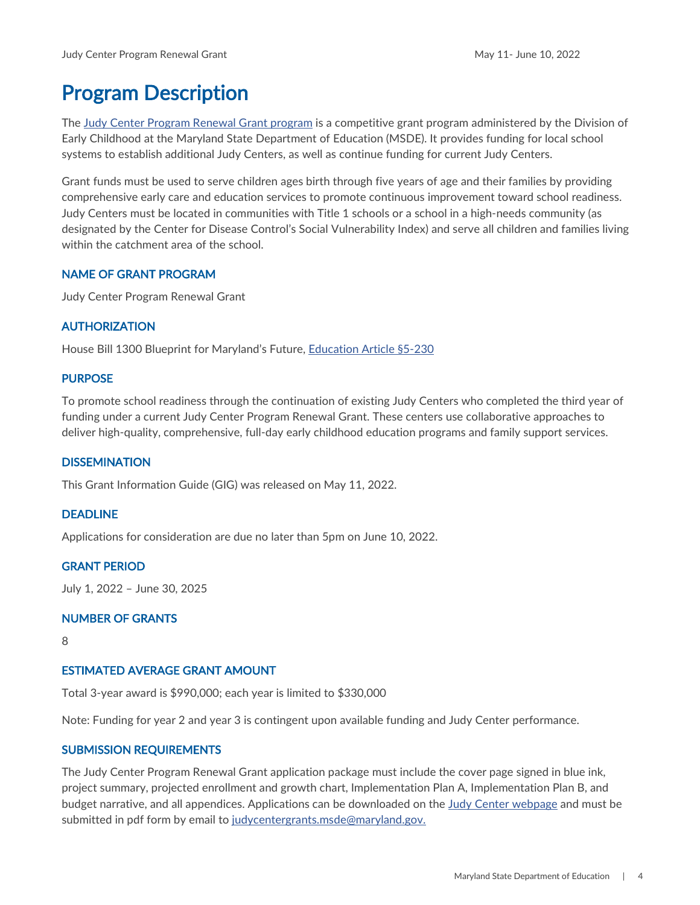# <span id="page-4-0"></span>Program Description

The [Judy Center Program Renewal Grant](https://earlychildhood.marylandpublicschools.org/families/judy-centers/judy-center-grants) program is a competitive grant program administered by the Division of Early Childhood at the Maryland State Department of Education (MSDE). It provides funding for local school systems to establish additional Judy Centers, as well as continue funding for current Judy Centers.

Grant funds must be used to serve children ages birth through five years of age and their families by providing comprehensive early care and education services to promote continuous improvement toward school readiness. Judy Centers must be located in communities with Title 1 schools or a school in a high-needs community (as designated by the Center for Disease Control's Social Vulnerability Index) and serve all children and families living within the catchment area of the school.

### <span id="page-4-1"></span>NAME OF GRANT PROGRAM

Judy Center Program Renewal Grant

### <span id="page-4-2"></span>AUTHORIZATION

House Bill 1300 Blueprint for Maryland's Future, [Education Article §5-230](https://mgaleg.maryland.gov/mgawebsite/Laws/StatuteText?article=ged§ion=5-230&enactments=false) 

### <span id="page-4-3"></span>PURPOSE

To promote school readiness through the continuation of existing Judy Centers who completed the third year of funding under a current Judy Center Program Renewal Grant. These centers use collaborative approaches to deliver high-quality, comprehensive, full-day early childhood education programs and family support services.

### <span id="page-4-4"></span>**DISSEMINATION**

This Grant Information Guide (GIG) was released on May 11, 2022.

### <span id="page-4-5"></span>DEADLINE

Applications for consideration are due no later than 5pm on June 10, 2022.

### <span id="page-4-6"></span>GRANT PERIOD

July 1, 2022 – June 30, 2025

### <span id="page-4-7"></span>NUMBER OF GRANTS

8

### <span id="page-4-8"></span>ESTIMATED AVERAGE GRANT AMOUNT

Total 3-year award is \$990,000; each year is limited to \$330,000

Note: Funding for year 2 and year 3 is contingent upon available funding and Judy Center performance.

### <span id="page-4-9"></span>SUBMISSION REQUIREMENTS

The Judy Center Program Renewal Grant application package must include the cover page signed in blue ink, project summary, projected enrollment and growth chart, Implementation Plan A, Implementation Plan B, and budget narrative, and all appendices. Applications can be downloaded on the [Judy Center webpage](https://earlychildhood.marylandpublicschools.org/families/judy-centers/judy-center-grants) and must be submitted in pdf form by email to [judycentergrants.msde@maryland.gov.](mailto:judycentergrants.msde@maryland.gov)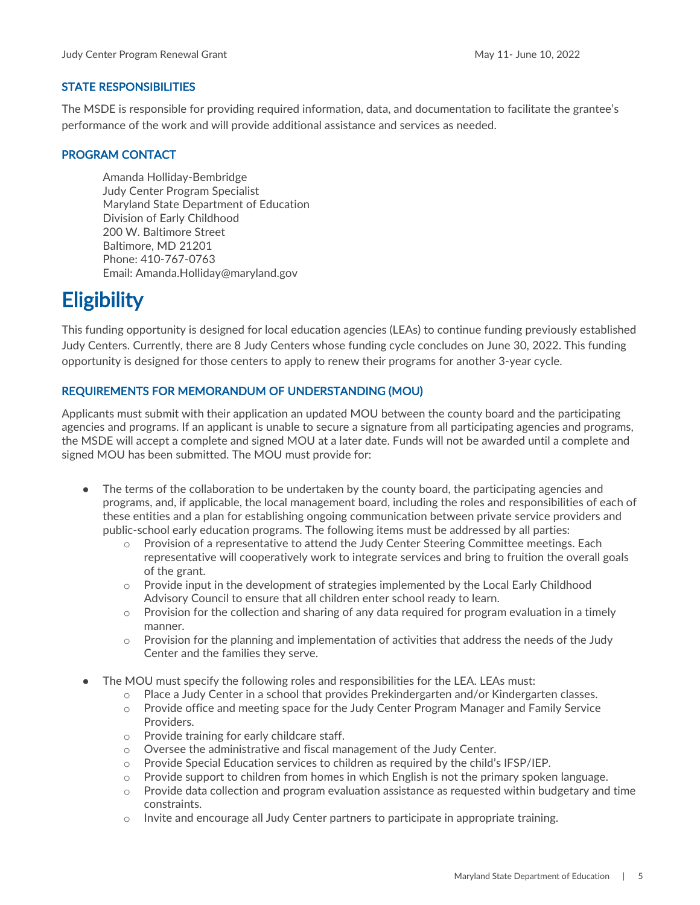#### <span id="page-5-0"></span>STATE RESPONSIBILITIES

The MSDE is responsible for providing required information, data, and documentation to facilitate the grantee's performance of the work and will provide additional assistance and services as needed.

### <span id="page-5-1"></span>PROGRAM CONTACT

Amanda Holliday-Bembridge Judy Center Program Specialist Maryland State Department of Education Division of Early Childhood 200 W. Baltimore Street Baltimore, MD 21201 Phone: 410-767-0763 Email: Amanda.Holliday@maryland.gov

# <span id="page-5-2"></span>**Eligibility**

This funding opportunity is designed for local education agencies (LEAs) to continue funding previously established Judy Centers. Currently, there are 8 Judy Centers whose funding cycle concludes on June 30, 2022. This funding opportunity is designed for those centers to apply to renew their programs for another 3-year cycle.

### <span id="page-5-3"></span>REQUIREMENTS FOR MEMORANDUM OF UNDERSTANDING (MOU)

Applicants must submit with their application an updated MOU between the county board and the participating agencies and programs. If an applicant is unable to secure a signature from all participating agencies and programs, the MSDE will accept a complete and signed MOU at a later date. Funds will not be awarded until a complete and signed MOU has been submitted. The MOU must provide for:

- The terms of the collaboration to be undertaken by the county board, the participating agencies and programs, and, if applicable, the local management board, including the roles and responsibilities of each of these entities and a plan for establishing ongoing communication between private service providers and public-school early education programs. The following items must be addressed by all parties:
	- $\circ$  Provision of a representative to attend the Judy Center Steering Committee meetings. Each representative will cooperatively work to integrate services and bring to fruition the overall goals of the grant.
	- $\circ$  Provide input in the development of strategies implemented by the Local Early Childhood Advisory Council to ensure that all children enter school ready to learn.
	- $\circ$  Provision for the collection and sharing of any data required for program evaluation in a timely manner.
	- $\circ$  Provision for the planning and implementation of activities that address the needs of the Judy Center and the families they serve.
- The MOU must specify the following roles and responsibilities for the LEA. LEAs must:
	- $\circ$  Place a Judy Center in a school that provides Prekindergarten and/or Kindergarten classes.
	- o Provide office and meeting space for the Judy Center Program Manager and Family Service Providers.
	- o Provide training for early childcare staff.
	- $\circ$  Oversee the administrative and fiscal management of the Judy Center.
	- $\circ$  Provide Special Education services to children as required by the child's IFSP/IEP.
	- $\circ$  Provide support to children from homes in which English is not the primary spoken language.
	- $\circ$  Provide data collection and program evaluation assistance as requested within budgetary and time constraints.
	- $\circ$  Invite and encourage all Judy Center partners to participate in appropriate training.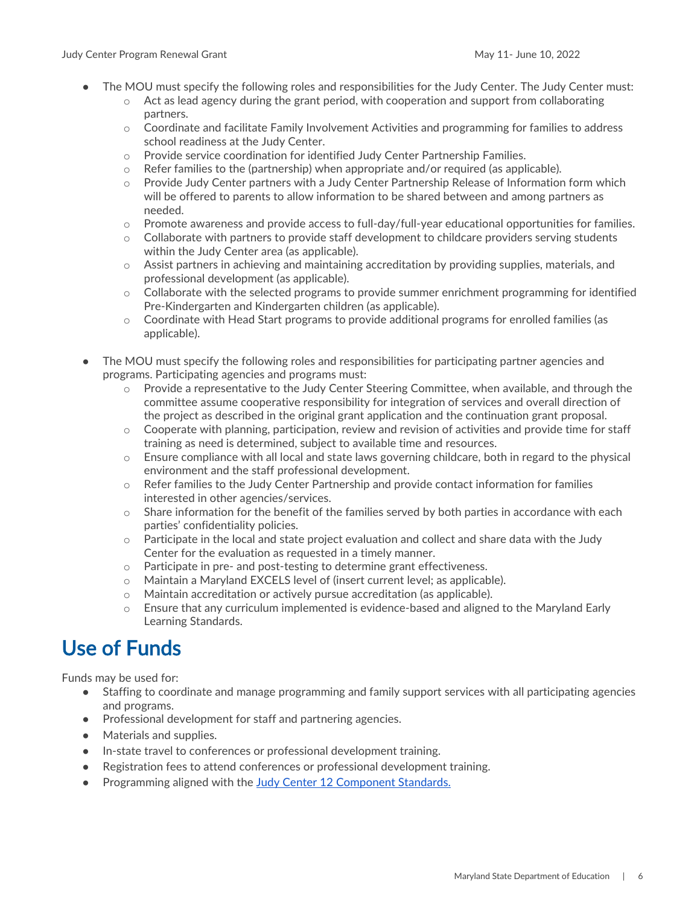- The MOU must specify the following roles and responsibilities for the Judy Center. The Judy Center must:
	- o Act as lead agency during the grant period, with cooperation and support from collaborating partners.
	- o Coordinate and facilitate Family Involvement Activities and programming for families to address school readiness at the Judy Center.
	- $\circ$  Provide service coordination for identified Judy Center Partnership Families.
	- $\circ$  Refer families to the (partnership) when appropriate and/or required (as applicable).
	- o Provide Judy Center partners with a Judy Center Partnership Release of Information form which will be offered to parents to allow information to be shared between and among partners as needed.
	- $\circ$  Promote awareness and provide access to full-day/full-year educational opportunities for families.
	- $\circ$  Collaborate with partners to provide staff development to childcare providers serving students within the Judy Center area (as applicable).
	- $\circ$  Assist partners in achieving and maintaining accreditation by providing supplies, materials, and professional development (as applicable).
	- $\circ$  Collaborate with the selected programs to provide summer enrichment programming for identified Pre-Kindergarten and Kindergarten children (as applicable).
	- o Coordinate with Head Start programs to provide additional programs for enrolled families (as applicable).
	- The MOU must specify the following roles and responsibilities for participating partner agencies and programs. Participating agencies and programs must:
		- $\circ$  Provide a representative to the Judy Center Steering Committee, when available, and through the committee assume cooperative responsibility for integration of services and overall direction of the project as described in the original grant application and the continuation grant proposal.
		- $\circ$  Cooperate with planning, participation, review and revision of activities and provide time for staff training as need is determined, subject to available time and resources.
		- o Ensure compliance with all local and state laws governing childcare, both in regard to the physical environment and the staff professional development.
		- o Refer families to the Judy Center Partnership and provide contact information for families interested in other agencies/services.
		- $\circ$  Share information for the benefit of the families served by both parties in accordance with each parties' confidentiality policies.
		- $\circ$  Participate in the local and state project evaluation and collect and share data with the Judy Center for the evaluation as requested in a timely manner.
		- o Participate in pre- and post-testing to determine grant effectiveness.
		- o Maintain a Maryland EXCELS level of (insert current level; as applicable).
		- o Maintain accreditation or actively pursue accreditation (as applicable).
		- $\circ$  Ensure that any curriculum implemented is evidence-based and aligned to the Maryland Early Learning Standards.

# <span id="page-6-0"></span>Use of Funds

Funds may be used for:

- Staffing to coordinate and manage programming and family support services with all participating agencies and programs.
- Professional development for staff and partnering agencies.
- Materials and supplies.
- In-state travel to conferences or professional development training.
- Registration fees to attend conferences or professional development training.
- Programming aligned with the [Judy Center 12 Component Standards.](https://earlychildhood.marylandpublicschools.org/families/judy-centers/component-standards)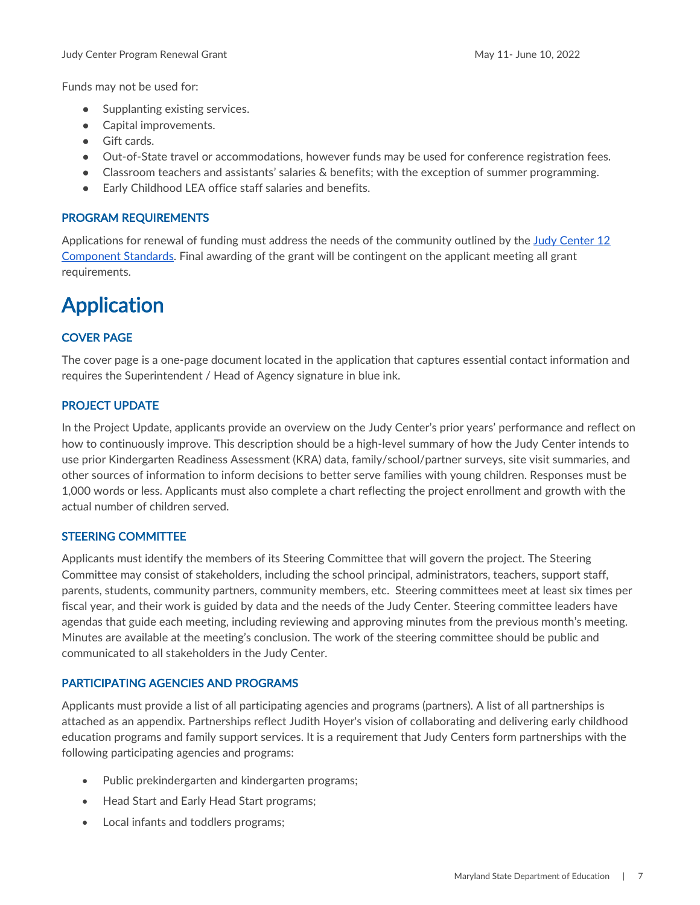Funds may not be used for:

- Supplanting existing services.
- Capital improvements.
- Gift cards.
- Out-of-State travel or accommodations, however funds may be used for conference registration fees.
- Classroom teachers and assistants' salaries & benefits; with the exception of summer programming.
- Early Childhood LEA office staff salaries and benefits.

### <span id="page-7-0"></span>PROGRAM REQUIREMENTS

Applications for renewal of funding must address the needs of the community outlined by the [Judy Center 12](https://earlychildhood.marylandpublicschools.org/system/files/filedepot/2/jc_standards_6_27_18.pdf)  [Component Standards.](https://earlychildhood.marylandpublicschools.org/system/files/filedepot/2/jc_standards_6_27_18.pdf) Final awarding of the grant will be contingent on the applicant meeting all grant requirements.

# <span id="page-7-1"></span>Application

### <span id="page-7-2"></span>COVER PAGE

The cover page is a one-page document located in the application that captures essential contact information and requires the Superintendent / Head of Agency signature in blue ink.

### <span id="page-7-3"></span>PROJECT UPDATE

In the Project Update, applicants provide an overview on the Judy Center's prior years' performance and reflect on how to continuously improve. This description should be a high-level summary of how the Judy Center intends to use prior Kindergarten Readiness Assessment (KRA) data, family/school/partner surveys, site visit summaries, and other sources of information to inform decisions to better serve families with young children. Responses must be 1,000 words or less. Applicants must also complete a chart reflecting the project enrollment and growth with the actual number of children served.

### <span id="page-7-4"></span>STEERING COMMITTEE

Applicants must identify the members of its Steering Committee that will govern the project. The Steering Committee may consist of stakeholders, including the school principal, administrators, teachers, support staff, parents, students, community partners, community members, etc. Steering committees meet at least six times per fiscal year, and their work is guided by data and the needs of the Judy Center. Steering committee leaders have agendas that guide each meeting, including reviewing and approving minutes from the previous month's meeting. Minutes are available at the meeting's conclusion. The work of the steering committee should be public and communicated to all stakeholders in the Judy Center.

### <span id="page-7-5"></span>PARTICIPATING AGENCIES AND PROGRAMS

Applicants must provide a list of all participating agencies and programs (partners). A list of all partnerships is attached as an appendix. Partnerships reflect Judith Hoyer's vision of collaborating and delivering early childhood education programs and family support services. It is a requirement that Judy Centers form partnerships with the following participating agencies and programs:

- Public prekindergarten and kindergarten programs;
- Head Start and Early Head Start programs;
- Local infants and toddlers programs;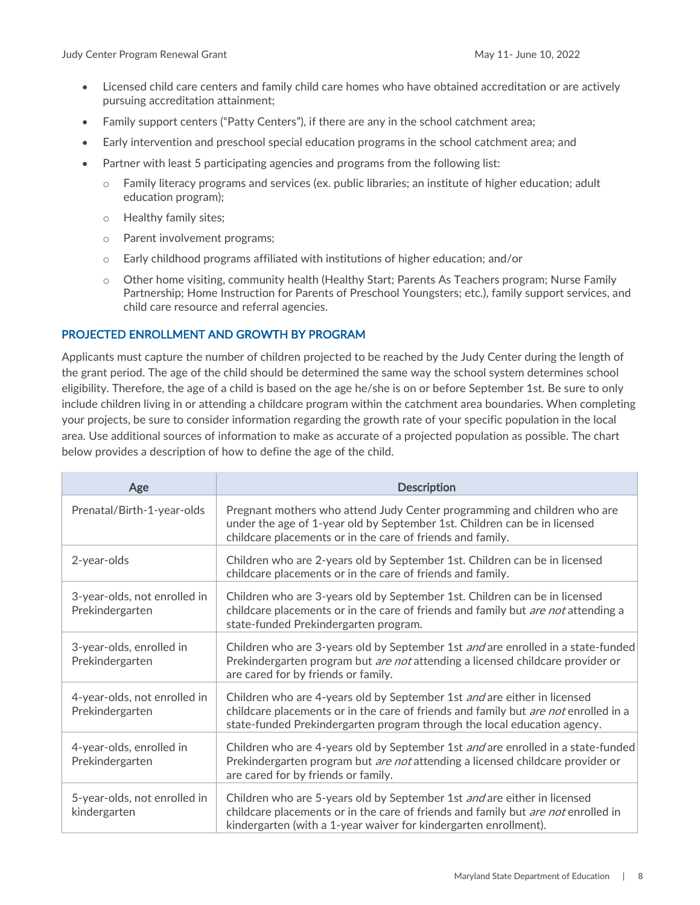- Licensed child care centers and family child care homes who have obtained accreditation or are actively pursuing accreditation attainment;
- Family support centers ("Patty Centers"), if there are any in the school catchment area;
- Early intervention and preschool special education programs in the school catchment area; and
- Partner with least 5 participating agencies and programs from the following list:
	- o Family literacy programs and services (ex. public libraries; an institute of higher education; adult education program);
	- o Healthy family sites;
	- o Parent involvement programs;
	- $\circ$  Early childhood programs affiliated with institutions of higher education; and/or
	- $\circ$  Other home visiting, community health (Healthy Start; Parents As Teachers program; Nurse Family Partnership; Home Instruction for Parents of Preschool Youngsters; etc.), family support services, and child care resource and referral agencies.

### <span id="page-8-0"></span>PROJECTED ENROLLMENT AND GROWTH BY PROGRAM

Applicants must capture the number of children projected to be reached by the Judy Center during the length of the grant period. The age of the child should be determined the same way the school system determines school eligibility. Therefore, the age of a child is based on the age he/she is on or before September 1st. Be sure to only include children living in or attending a childcare program within the catchment area boundaries. When completing your projects, be sure to consider information regarding the growth rate of your specific population in the local area. Use additional sources of information to make as accurate of a projected population as possible. The chart below provides a description of how to define the age of the child.

| Age                                             | <b>Description</b>                                                                                                                                                                                                                          |
|-------------------------------------------------|---------------------------------------------------------------------------------------------------------------------------------------------------------------------------------------------------------------------------------------------|
| Prenatal/Birth-1-year-olds                      | Pregnant mothers who attend Judy Center programming and children who are<br>under the age of 1-year old by September 1st. Children can be in licensed<br>childcare placements or in the care of friends and family.                         |
| 2-year-olds                                     | Children who are 2-years old by September 1st. Children can be in licensed<br>childcare placements or in the care of friends and family.                                                                                                    |
| 3-year-olds, not enrolled in<br>Prekindergarten | Children who are 3-years old by September 1st. Children can be in licensed<br>childcare placements or in the care of friends and family but <i>are not</i> attending a<br>state-funded Prekindergarten program.                             |
| 3-year-olds, enrolled in<br>Prekindergarten     | Children who are 3-years old by September 1st and are enrolled in a state-funded<br>Prekindergarten program but <i>are not</i> attending a licensed childcare provider or<br>are cared for by friends or family.                            |
| 4-year-olds, not enrolled in<br>Prekindergarten | Children who are 4-years old by September 1st and are either in licensed<br>childcare placements or in the care of friends and family but are not enrolled in a<br>state-funded Prekindergarten program through the local education agency. |
| 4-year-olds, enrolled in<br>Prekindergarten     | Children who are 4-years old by September 1st and are enrolled in a state-funded<br>Prekindergarten program but are not attending a licensed childcare provider or<br>are cared for by friends or family.                                   |
| 5-year-olds, not enrolled in<br>kindergarten    | Children who are 5-years old by September 1st and are either in licensed<br>childcare placements or in the care of friends and family but are not enrolled in<br>kindergarten (with a 1-year waiver for kindergarten enrollment).           |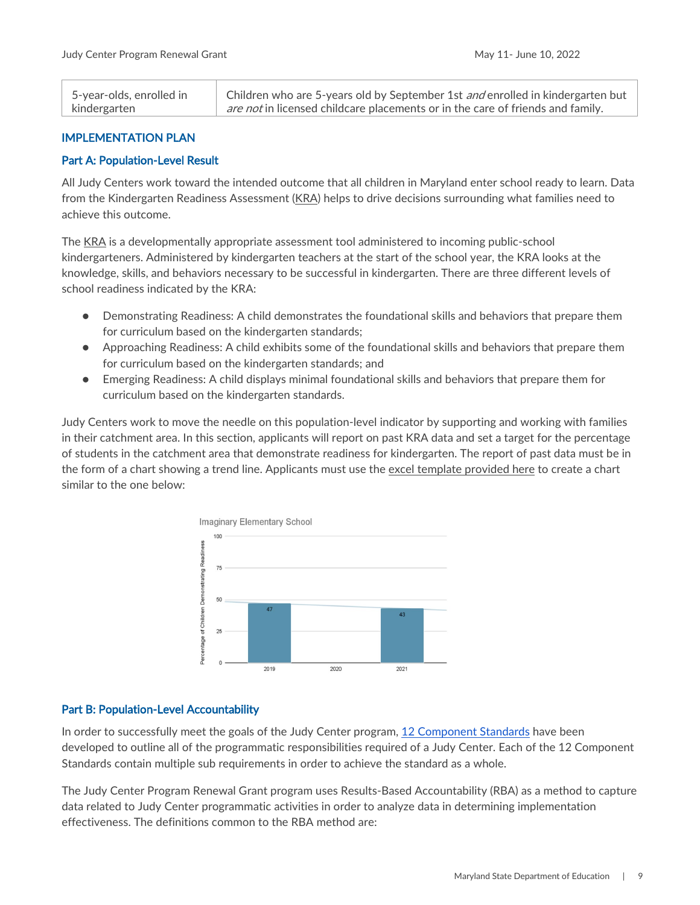| 5-year-olds, enrolled in | Children who are 5-years old by September 1st and enrolled in kindergarten but        |
|--------------------------|---------------------------------------------------------------------------------------|
| kindergarten             | <i>are not</i> in licensed childcare placements or in the care of friends and family. |

### <span id="page-9-0"></span>IMPLEMENTATION PLAN

### <span id="page-9-1"></span>Part A: Population-Level Result

All Judy Centers work toward the intended outcome that all children in Maryland enter school ready to learn. Data from the Kindergarten Readiness Assessment [\(KRA\)](https://earlychildhood.marylandpublicschools.org/prek-grade-2/maryland-early-learning-framework/ready-4-kindergarten#:%7E:text=Ready%20for%20Kindergarten%20(R4K)%20is,to%20be%20successful%20in%20school.) helps to drive decisions surrounding what families need to achieve this outcome.

The [KRA](https://earlychildhood.marylandpublicschools.org/prek-grade-2/maryland-early-learning-framework/ready-4-kindergarten#:%7E:text=Ready%20for%20Kindergarten%20(R4K)%20is,to%20be%20successful%20in%20school.) is a developmentally appropriate assessment tool administered to incoming public-school kindergarteners. Administered by kindergarten teachers at the start of the school year, the KRA looks at the knowledge, skills, and behaviors necessary to be successful in kindergarten. There are three different levels of school readiness indicated by the KRA:

- Demonstrating Readiness: A child demonstrates the foundational skills and behaviors that prepare them for curriculum based on the kindergarten standards;
- Approaching Readiness: A child exhibits some of the foundational skills and behaviors that prepare them for curriculum based on the kindergarten standards; and
- Emerging Readiness: A child displays minimal foundational skills and behaviors that prepare them for curriculum based on the kindergarten standards.

Judy Centers work to move the needle on this population-level indicator by supporting and working with families in their catchment area. In this section, applicants will report on past KRA data and set a target for the percentage of students in the catchment area that demonstrate readiness for kindergarten. The report of past data must be in the form of a chart showing a trend line. Applicants must use the [excel template provided here](https://earlychildhood.marylandpublicschools.org/system/files/filedepot/3/kra_data_chart.xlsx) to create a chart similar to the one below:



### <span id="page-9-2"></span>Part B: Population-Level Accountability

In order to successfully meet the goals of the Judy Center program, [12 Component Standards](https://earlychildhood.marylandpublicschools.org/families/judy-centers/component-standards) have been developed to outline all of the programmatic responsibilities required of a Judy Center. Each of the 12 Component Standards contain multiple sub requirements in order to achieve the standard as a whole.

The Judy Center Program Renewal Grant program uses Results-Based Accountability (RBA) as a method to capture data related to Judy Center programmatic activities in order to analyze data in determining implementation effectiveness. The definitions common to the RBA method are: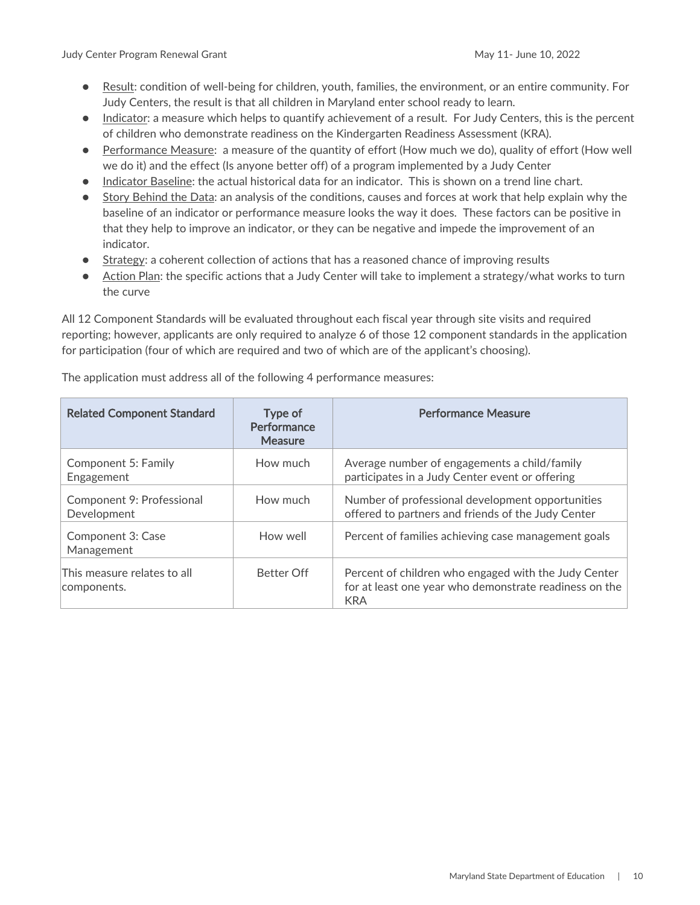Judy Center Program Renewal Grant May 11- June 10, 2022

- Result: condition of well-being for children, youth, families, the environment, or an entire community. For Judy Centers, the result is that all children in Maryland enter school ready to learn.
- Indicator: a measure which helps to quantify achievement of a result. For Judy Centers, this is the percent of children who demonstrate readiness on the Kindergarten Readiness Assessment (KRA).
- Performance Measure: a measure of the quantity of effort (How much we do), quality of effort (How well we do it) and the effect (Is anyone better off) of a program implemented by a Judy Center
- Indicator Baseline: the actual historical data for an indicator. This is shown on a trend line chart.
- Story Behind the Data: an analysis of the conditions, causes and forces at work that help explain why the baseline of an indicator or performance measure looks the way it does. These factors can be positive in that they help to improve an indicator, or they can be negative and impede the improvement of an indicator.
- Strategy: a coherent collection of actions that has a reasoned chance of improving results
- Action Plan: the specific actions that a Judy Center will take to implement a strategy/what works to turn the curve

All 12 Component Standards will be evaluated throughout each fiscal year through site visits and required reporting; however, applicants are only required to analyze 6 of those 12 component standards in the application for participation (four of which are required and two of which are of the applicant's choosing).

| <b>Related Component Standard</b>          | Type of<br>Performance<br><b>Measure</b> | <b>Performance Measure</b>                                                                                                   |
|--------------------------------------------|------------------------------------------|------------------------------------------------------------------------------------------------------------------------------|
| Component 5: Family<br>Engagement          | How much                                 | Average number of engagements a child/family<br>participates in a Judy Center event or offering                              |
| Component 9: Professional<br>Development   | How much                                 | Number of professional development opportunities<br>offered to partners and friends of the Judy Center                       |
| Component 3: Case<br>Management            | How well                                 | Percent of families achieving case management goals                                                                          |
| This measure relates to all<br>components. | <b>Better Off</b>                        | Percent of children who engaged with the Judy Center<br>for at least one year who demonstrate readiness on the<br><b>KRA</b> |

The application must address all of the following 4 performance measures: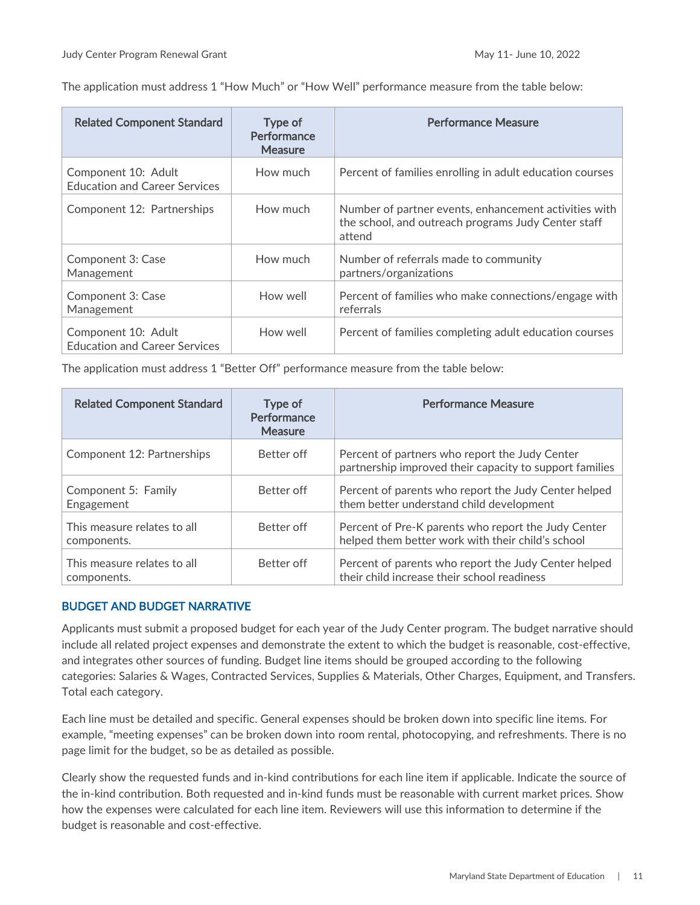The application must address 1 "How Much" or "How Well" performance measure from the table below:

| <b>Related Component Standard</b>                           | Type of<br>Performance<br><b>Measure</b> | <b>Performance Measure</b>                                                                                             |
|-------------------------------------------------------------|------------------------------------------|------------------------------------------------------------------------------------------------------------------------|
| Component 10: Adult<br><b>Education and Career Services</b> | How much                                 | Percent of families enrolling in adult education courses                                                               |
| Component 12: Partnerships                                  | How much                                 | Number of partner events, enhancement activities with<br>the school, and outreach programs Judy Center staff<br>attend |
| Component 3: Case<br>Management                             | How much                                 | Number of referrals made to community<br>partners/organizations                                                        |
| Component 3: Case<br>Management                             | How well                                 | Percent of families who make connections/engage with<br>referrals                                                      |
| Component 10: Adult<br><b>Education and Career Services</b> | How well                                 | Percent of families completing adult education courses                                                                 |

The application must address 1 "Better Off" performance measure from the table below:

| <b>Related Component Standard</b>          | Type of<br>Performance<br><b>Measure</b> | <b>Performance Measure</b>                                                                                |
|--------------------------------------------|------------------------------------------|-----------------------------------------------------------------------------------------------------------|
| Component 12: Partnerships                 | Better off                               | Percent of partners who report the Judy Center<br>partnership improved their capacity to support families |
| Component 5: Family<br>Engagement          | Better off                               | Percent of parents who report the Judy Center helped<br>them better understand child development          |
| This measure relates to all<br>components. | Better off                               | Percent of Pre-K parents who report the Judy Center<br>helped them better work with their child's school  |
| This measure relates to all<br>components. | Better off                               | Percent of parents who report the Judy Center helped<br>their child increase their school readiness       |

### <span id="page-11-0"></span>BUDGET AND BUDGET NARRATIVE

Applicants must submit a proposed budget for each year of the Judy Center program. The budget narrative should include all related project expenses and demonstrate the extent to which the budget is reasonable, cost-effective, and integrates other sources of funding. Budget line items should be grouped according to the following categories: Salaries & Wages, Contracted Services, Supplies & Materials, Other Charges, Equipment, and Transfers. Total each category.

Each line must be detailed and specific. General expenses should be broken down into specific line items. For example, "meeting expenses" can be broken down into room rental, photocopying, and refreshments. There is no page limit for the budget, so be as detailed as possible.

Clearly show the requested funds and in-kind contributions for each line item if applicable. Indicate the source of the in-kind contribution. Both requested and in-kind funds must be reasonable with current market prices. Show how the expenses were calculated for each line item. Reviewers will use this information to determine if the budget is reasonable and cost-effective.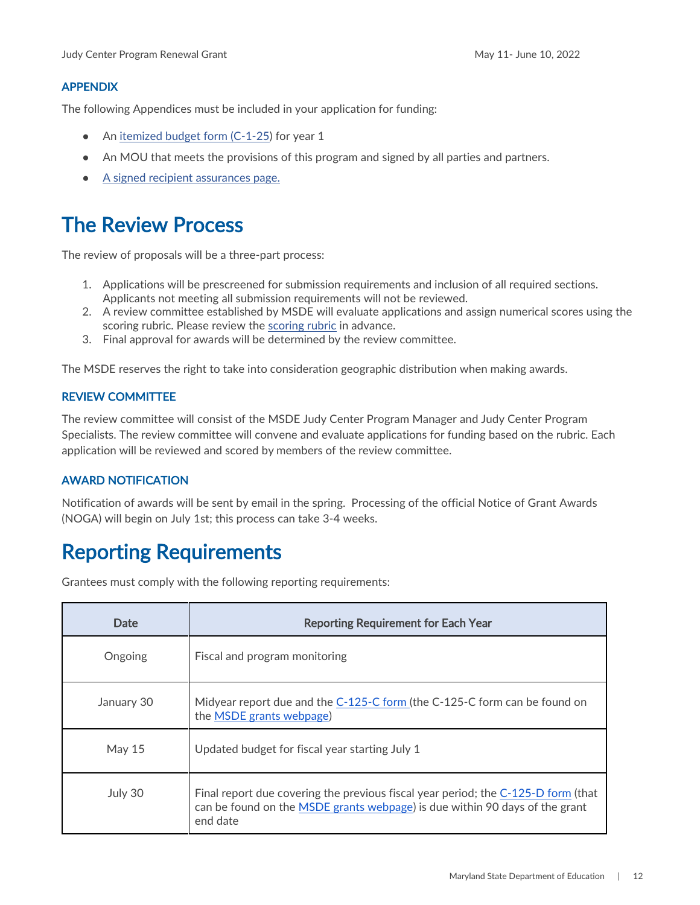### <span id="page-12-0"></span>APPENDIX

The following Appendices must be included in your application for funding:

- An [itemized budget form \(C-1-25\)](https://marylandpublicschools.org/about/Documents/Grants/GrantForms-12-10-2020.xls) for year 1
- An MOU that meets the provisions of this program and signed by all parties and partners.
- [A signed recipient assurances page.](https://www.marylandpublicschools.org/about/Documents/Grants/GrantRecipientAssurances.pdf)

### <span id="page-12-1"></span>The Review Process

The review of proposals will be a three-part process:

- 1. Applications will be prescreened for submission requirements and inclusion of all required sections. Applicants not meeting all submission requirements will not be reviewed.
- 2. A review committee established by MSDE will evaluate applications and assign numerical scores using the scoring rubric. Please review the [scoring rubric](https://earlychildhood.marylandpublicschools.org/system/files/filedepot/3/judy_center_scoring_rubric.pdf) in advance.
- 3. Final approval for awards will be determined by the review committee.

The MSDE reserves the right to take into consideration geographic distribution when making awards.

### <span id="page-12-2"></span>REVIEW COMMITTEE

The review committee will consist of the MSDE Judy Center Program Manager and Judy Center Program Specialists. The review committee will convene and evaluate applications for funding based on the rubric. Each application will be reviewed and scored by members of the review committee.

### <span id="page-12-3"></span>AWARD NOTIFICATION

Notification of awards will be sent by email in the spring. Processing of the official Notice of Grant Awards (NOGA) will begin on July 1st; this process can take 3-4 weeks.

# <span id="page-12-4"></span>Reporting Requirements

Grantees must comply with the following reporting requirements:

| Date          | <b>Reporting Requirement for Each Year</b>                                                                                                                                   |
|---------------|------------------------------------------------------------------------------------------------------------------------------------------------------------------------------|
| Ongoing       | Fiscal and program monitoring                                                                                                                                                |
| January 30    | Midyear report due and the C-125-C form (the C-125-C form can be found on<br>the MSDE grants webpage)                                                                        |
| <b>May 15</b> | Updated budget for fiscal year starting July 1                                                                                                                               |
| July 30       | Final report due covering the previous fiscal year period; the C-125-D form (that<br>can be found on the MSDE grants webpage) is due within 90 days of the grant<br>end date |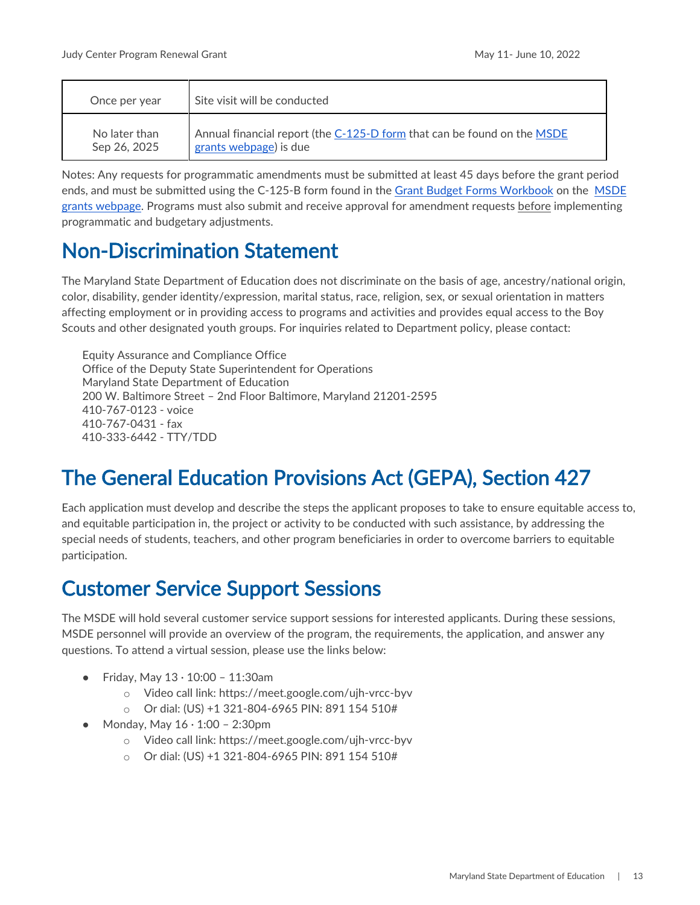| Once per year | Site visit will be conducted                                            |
|---------------|-------------------------------------------------------------------------|
| No later than | Annual financial report (the C-125-D form that can be found on the MSDE |
| Sep 26, 2025  | grants webpage) is due                                                  |

Notes: Any requests for programmatic amendments must be submitted at least 45 days before the grant period ends, and must be submitted using the C-125-B form found in the [Grant Budget Forms Workbook](https://marylandpublicschools.org/about/Pages/Grants/BudgetInfo.aspx) on the [MSDE](https://www.marylandpublicschools.org/about/Pages/Grants/Forms.aspx)  [grants webpage.](https://www.marylandpublicschools.org/about/Pages/Grants/Forms.aspx) Programs must also submit and receive approval for amendment requests before implementing programmatic and budgetary adjustments.

### <span id="page-13-0"></span>Non-Discrimination Statement

The Maryland State Department of Education does not discriminate on the basis of age, ancestry/national origin, color, disability, gender identity/expression, marital status, race, religion, sex, or sexual orientation in matters affecting employment or in providing access to programs and activities and provides equal access to the Boy Scouts and other designated youth groups. For inquiries related to Department policy, please contact:

Equity Assurance and Compliance Office Office of the Deputy State Superintendent for Operations Maryland State Department of Education 200 W. Baltimore Street – 2nd Floor Baltimore, Maryland 21201-2595 410-767-0123 - voice 410-767-0431 - fax 410-333-6442 - TTY/TDD

# <span id="page-13-1"></span>The General Education Provisions Act (GEPA), Section 427

Each application must develop and describe the steps the applicant proposes to take to ensure equitable access to, and equitable participation in, the project or activity to be conducted with such assistance, by addressing the special needs of students, teachers, and other program beneficiaries in order to overcome barriers to equitable participation.

# <span id="page-13-2"></span>Customer Service Support Sessions

The MSDE will hold several customer service support sessions for interested applicants. During these sessions, MSDE personnel will provide an overview of the program, the requirements, the application, and answer any questions. To attend a virtual session, please use the links below:

- Friday, May 13 · 10:00 11:30am
	- o Video call link: https://meet.google.com/ujh-vrcc-byv
	- o Or dial: (US) +1 321-804-6965 PIN: 891 154 510#
- Monday, May  $16 \cdot 1:00 2:30$ pm
	- o Video call link: https://meet.google.com/ujh-vrcc-byv
	- o Or dial: (US) +1 321-804-6965 PIN: 891 154 510#